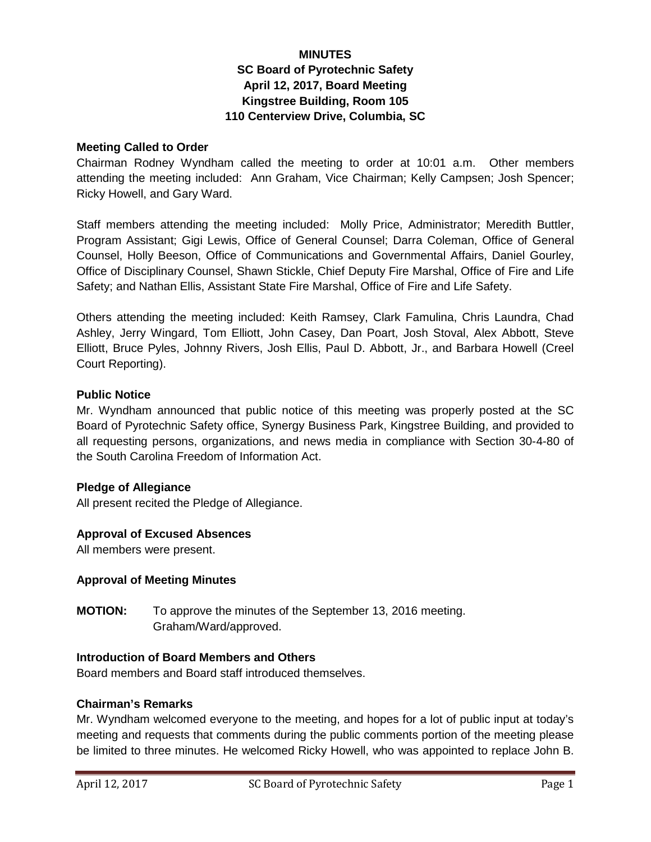# **MINUTES SC Board of Pyrotechnic Safety April 12, 2017, Board Meeting Kingstree Building, Room 105 110 Centerview Drive, Columbia, SC**

#### **Meeting Called to Order**

Chairman Rodney Wyndham called the meeting to order at 10:01 a.m. Other members attending the meeting included: Ann Graham, Vice Chairman; Kelly Campsen; Josh Spencer; Ricky Howell, and Gary Ward.

Staff members attending the meeting included: Molly Price, Administrator; Meredith Buttler, Program Assistant; Gigi Lewis, Office of General Counsel; Darra Coleman, Office of General Counsel, Holly Beeson, Office of Communications and Governmental Affairs, Daniel Gourley, Office of Disciplinary Counsel, Shawn Stickle, Chief Deputy Fire Marshal, Office of Fire and Life Safety; and Nathan Ellis, Assistant State Fire Marshal, Office of Fire and Life Safety.

Others attending the meeting included: Keith Ramsey, Clark Famulina, Chris Laundra, Chad Ashley, Jerry Wingard, Tom Elliott, John Casey, Dan Poart, Josh Stoval, Alex Abbott, Steve Elliott, Bruce Pyles, Johnny Rivers, Josh Ellis, Paul D. Abbott, Jr., and Barbara Howell (Creel Court Reporting).

#### **Public Notice**

Mr. Wyndham announced that public notice of this meeting was properly posted at the SC Board of Pyrotechnic Safety office, Synergy Business Park, Kingstree Building, and provided to all requesting persons, organizations, and news media in compliance with Section 30-4-80 of the South Carolina Freedom of Information Act.

#### **Pledge of Allegiance**

All present recited the Pledge of Allegiance.

#### **Approval of Excused Absences**

All members were present.

#### **Approval of Meeting Minutes**

**MOTION:** To approve the minutes of the September 13, 2016 meeting. Graham/Ward/approved.

#### **Introduction of Board Members and Others**

Board members and Board staff introduced themselves.

#### **Chairman's Remarks**

Mr. Wyndham welcomed everyone to the meeting, and hopes for a lot of public input at today's meeting and requests that comments during the public comments portion of the meeting please be limited to three minutes. He welcomed Ricky Howell, who was appointed to replace John B.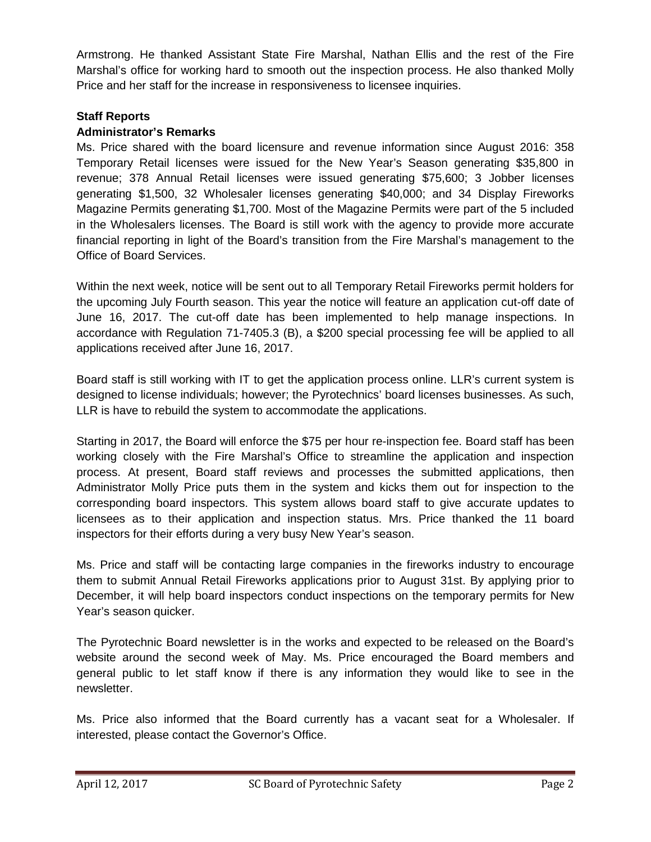Armstrong. He thanked Assistant State Fire Marshal, Nathan Ellis and the rest of the Fire Marshal's office for working hard to smooth out the inspection process. He also thanked Molly Price and her staff for the increase in responsiveness to licensee inquiries.

## **Staff Reports**

### **Administrator's Remarks**

Ms. Price shared with the board licensure and revenue information since August 2016: 358 Temporary Retail licenses were issued for the New Year's Season generating \$35,800 in revenue; 378 Annual Retail licenses were issued generating \$75,600; 3 Jobber licenses generating \$1,500, 32 Wholesaler licenses generating \$40,000; and 34 Display Fireworks Magazine Permits generating \$1,700. Most of the Magazine Permits were part of the 5 included in the Wholesalers licenses. The Board is still work with the agency to provide more accurate financial reporting in light of the Board's transition from the Fire Marshal's management to the Office of Board Services.

Within the next week, notice will be sent out to all Temporary Retail Fireworks permit holders for the upcoming July Fourth season. This year the notice will feature an application cut-off date of June 16, 2017. The cut-off date has been implemented to help manage inspections. In accordance with Regulation 71-7405.3 (B), a \$200 special processing fee will be applied to all applications received after June 16, 2017.

Board staff is still working with IT to get the application process online. LLR's current system is designed to license individuals; however; the Pyrotechnics' board licenses businesses. As such, LLR is have to rebuild the system to accommodate the applications.

Starting in 2017, the Board will enforce the \$75 per hour re-inspection fee. Board staff has been working closely with the Fire Marshal's Office to streamline the application and inspection process. At present, Board staff reviews and processes the submitted applications, then Administrator Molly Price puts them in the system and kicks them out for inspection to the corresponding board inspectors. This system allows board staff to give accurate updates to licensees as to their application and inspection status. Mrs. Price thanked the 11 board inspectors for their efforts during a very busy New Year's season.

Ms. Price and staff will be contacting large companies in the fireworks industry to encourage them to submit Annual Retail Fireworks applications prior to August 31st. By applying prior to December, it will help board inspectors conduct inspections on the temporary permits for New Year's season quicker.

The Pyrotechnic Board newsletter is in the works and expected to be released on the Board's website around the second week of May. Ms. Price encouraged the Board members and general public to let staff know if there is any information they would like to see in the newsletter.

Ms. Price also informed that the Board currently has a vacant seat for a Wholesaler. If interested, please contact the Governor's Office.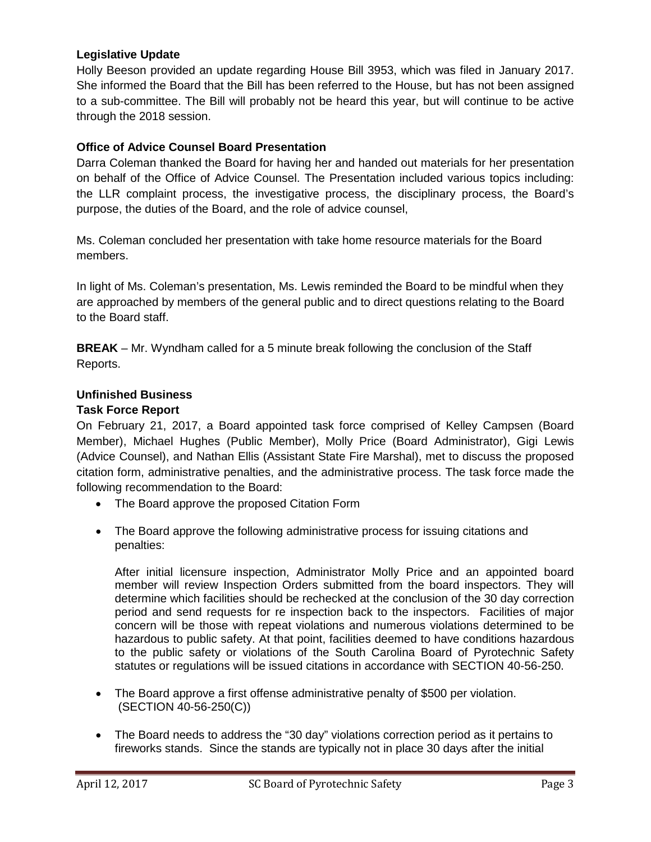### **Legislative Update**

Holly Beeson provided an update regarding House Bill 3953, which was filed in January 2017. She informed the Board that the Bill has been referred to the House, but has not been assigned to a sub-committee. The Bill will probably not be heard this year, but will continue to be active through the 2018 session.

### **Office of Advice Counsel Board Presentation**

Darra Coleman thanked the Board for having her and handed out materials for her presentation on behalf of the Office of Advice Counsel. The Presentation included various topics including: the LLR complaint process, the investigative process, the disciplinary process, the Board's purpose, the duties of the Board, and the role of advice counsel,

Ms. Coleman concluded her presentation with take home resource materials for the Board members.

In light of Ms. Coleman's presentation, Ms. Lewis reminded the Board to be mindful when they are approached by members of the general public and to direct questions relating to the Board to the Board staff.

**BREAK** – Mr. Wyndham called for a 5 minute break following the conclusion of the Staff Reports.

# **Unfinished Business**

### **Task Force Report**

On February 21, 2017, a Board appointed task force comprised of Kelley Campsen (Board Member), Michael Hughes (Public Member), Molly Price (Board Administrator), Gigi Lewis (Advice Counsel), and Nathan Ellis (Assistant State Fire Marshal), met to discuss the proposed citation form, administrative penalties, and the administrative process. The task force made the following recommendation to the Board:

- The Board approve the proposed Citation Form
- The Board approve the following administrative process for issuing citations and penalties:

After initial licensure inspection, Administrator Molly Price and an appointed board member will review Inspection Orders submitted from the board inspectors. They will determine which facilities should be rechecked at the conclusion of the 30 day correction period and send requests for re inspection back to the inspectors. Facilities of major concern will be those with repeat violations and numerous violations determined to be hazardous to public safety. At that point, facilities deemed to have conditions hazardous to the public safety or violations of the South Carolina Board of Pyrotechnic Safety statutes or regulations will be issued citations in accordance with SECTION 40-56-250.

- The Board approve a first offense administrative penalty of \$500 per violation. (SECTION 40-56-250(C))
- The Board needs to address the "30 day" violations correction period as it pertains to fireworks stands. Since the stands are typically not in place 30 days after the initial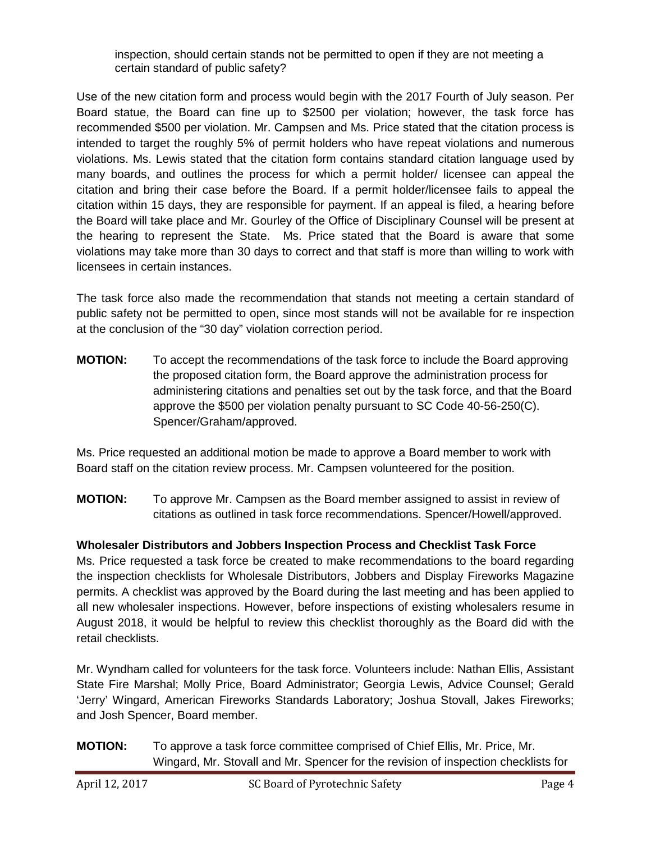inspection, should certain stands not be permitted to open if they are not meeting a certain standard of public safety?

Use of the new citation form and process would begin with the 2017 Fourth of July season. Per Board statue, the Board can fine up to \$2500 per violation; however, the task force has recommended \$500 per violation. Mr. Campsen and Ms. Price stated that the citation process is intended to target the roughly 5% of permit holders who have repeat violations and numerous violations. Ms. Lewis stated that the citation form contains standard citation language used by many boards, and outlines the process for which a permit holder/ licensee can appeal the citation and bring their case before the Board. If a permit holder/licensee fails to appeal the citation within 15 days, they are responsible for payment. If an appeal is filed, a hearing before the Board will take place and Mr. Gourley of the Office of Disciplinary Counsel will be present at the hearing to represent the State. Ms. Price stated that the Board is aware that some violations may take more than 30 days to correct and that staff is more than willing to work with licensees in certain instances.

The task force also made the recommendation that stands not meeting a certain standard of public safety not be permitted to open, since most stands will not be available for re inspection at the conclusion of the "30 day" violation correction period.

**MOTION:** To accept the recommendations of the task force to include the Board approving the proposed citation form, the Board approve the administration process for administering citations and penalties set out by the task force, and that the Board approve the \$500 per violation penalty pursuant to SC Code 40-56-250(C). Spencer/Graham/approved.

Ms. Price requested an additional motion be made to approve a Board member to work with Board staff on the citation review process. Mr. Campsen volunteered for the position.

**MOTION:** To approve Mr. Campsen as the Board member assigned to assist in review of citations as outlined in task force recommendations. Spencer/Howell/approved.

# **Wholesaler Distributors and Jobbers Inspection Process and Checklist Task Force**

Ms. Price requested a task force be created to make recommendations to the board regarding the inspection checklists for Wholesale Distributors, Jobbers and Display Fireworks Magazine permits. A checklist was approved by the Board during the last meeting and has been applied to all new wholesaler inspections. However, before inspections of existing wholesalers resume in August 2018, it would be helpful to review this checklist thoroughly as the Board did with the retail checklists.

Mr. Wyndham called for volunteers for the task force. Volunteers include: Nathan Ellis, Assistant State Fire Marshal; Molly Price, Board Administrator; Georgia Lewis, Advice Counsel; Gerald 'Jerry' Wingard, American Fireworks Standards Laboratory; Joshua Stovall, Jakes Fireworks; and Josh Spencer, Board member.

# **MOTION:** To approve a task force committee comprised of Chief Ellis, Mr. Price, Mr. Wingard, Mr. Stovall and Mr. Spencer for the revision of inspection checklists for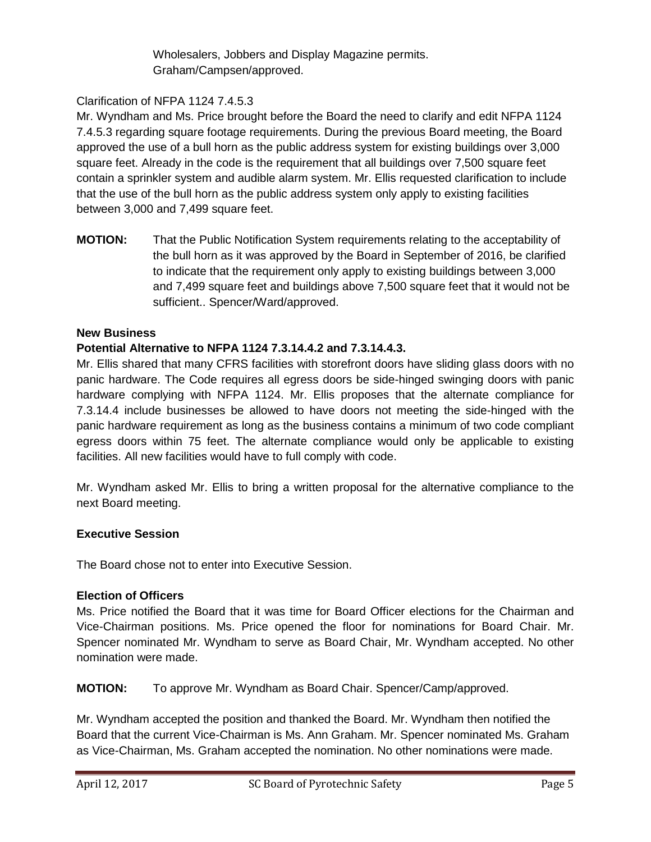Wholesalers, Jobbers and Display Magazine permits. Graham/Campsen/approved.

# Clarification of NFPA 1124 7.4.5.3

Mr. Wyndham and Ms. Price brought before the Board the need to clarify and edit NFPA 1124 7.4.5.3 regarding square footage requirements. During the previous Board meeting, the Board approved the use of a bull horn as the public address system for existing buildings over 3,000 square feet. Already in the code is the requirement that all buildings over 7,500 square feet contain a sprinkler system and audible alarm system. Mr. Ellis requested clarification to include that the use of the bull horn as the public address system only apply to existing facilities between 3,000 and 7,499 square feet.

**MOTION:** That the Public Notification System requirements relating to the acceptability of the bull horn as it was approved by the Board in September of 2016, be clarified to indicate that the requirement only apply to existing buildings between 3,000 and 7,499 square feet and buildings above 7,500 square feet that it would not be sufficient.. Spencer/Ward/approved.

### **New Business**

# **Potential Alternative to NFPA 1124 7.3.14.4.2 and 7.3.14.4.3.**

Mr. Ellis shared that many CFRS facilities with storefront doors have sliding glass doors with no panic hardware. The Code requires all egress doors be side-hinged swinging doors with panic hardware complying with NFPA 1124. Mr. Ellis proposes that the alternate compliance for 7.3.14.4 include businesses be allowed to have doors not meeting the side-hinged with the panic hardware requirement as long as the business contains a minimum of two code compliant egress doors within 75 feet. The alternate compliance would only be applicable to existing facilities. All new facilities would have to full comply with code.

Mr. Wyndham asked Mr. Ellis to bring a written proposal for the alternative compliance to the next Board meeting.

# **Executive Session**

The Board chose not to enter into Executive Session.

#### **Election of Officers**

Ms. Price notified the Board that it was time for Board Officer elections for the Chairman and Vice-Chairman positions. Ms. Price opened the floor for nominations for Board Chair. Mr. Spencer nominated Mr. Wyndham to serve as Board Chair, Mr. Wyndham accepted. No other nomination were made.

**MOTION:** To approve Mr. Wyndham as Board Chair. Spencer/Camp/approved.

Mr. Wyndham accepted the position and thanked the Board. Mr. Wyndham then notified the Board that the current Vice-Chairman is Ms. Ann Graham. Mr. Spencer nominated Ms. Graham as Vice-Chairman, Ms. Graham accepted the nomination. No other nominations were made.